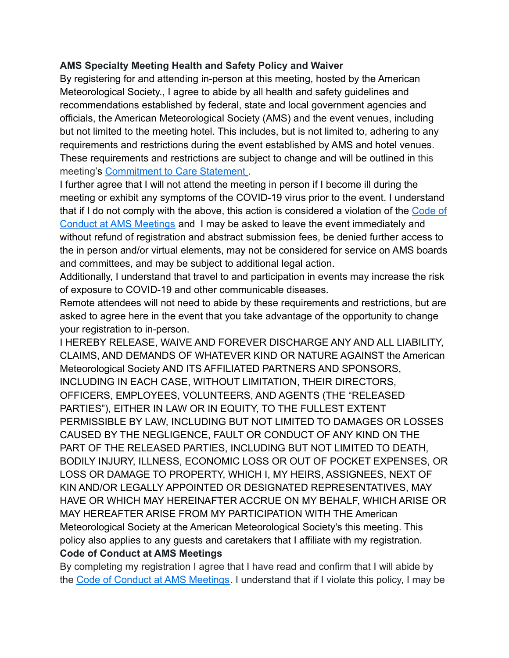## **AMS Specialty Meeting Health and Safety Policy and Waiver**

By registering for and attending in-person at this meeting, hosted by the American Meteorological Society., I agree to abide by all health and safety guidelines and recommendations established by federal, state and local government agencies and officials, the American Meteorological Society (AMS) and the event venues, including but not limited to the meeting hotel. This includes, but is not limited to, adhering to any requirements and restrictions during the event established by AMS and hotel venues. These requirements and restrictions are subject to change and will be outlined in this meeting's **[Commitment to Care Statement](https://www.ametsoc.org/index.cfm/ams/meetings-events/ams-meetings/49th-conference-on-broadcast-meteorology-sixth-conference-on-weather-warnings-and-communication/49bc6wx-commitment-to-care/)**.

I further agree that I will not attend the meeting in person if I become ill during the meeting or exhibit any symptoms of the COVID-19 virus prior to the event. I understand that if I do not comply with the above, this action is considered a violation of the [Code of](https://www.ametsoc.org/index.cfm/ams/meetings-events/attendees/professional-and-respectful-conduct-at-ams-meetings/) [Conduct at AMS Meetings](https://www.ametsoc.org/index.cfm/ams/meetings-events/attendees/professional-and-respectful-conduct-at-ams-meetings/) and I may be asked to leave the event immediately and without refund of registration and abstract submission fees, be denied further access to the in person and/or virtual elements, may not be considered for service on AMS boards and committees, and may be subject to additional legal action.

Additionally, I understand that travel to and participation in events may increase the risk of exposure to COVID-19 and other communicable diseases.

Remote attendees will not need to abide by these requirements and restrictions, but are asked to agree here in the event that you take advantage of the opportunity to change your registration to in-person.

I HEREBY RELEASE, WAIVE AND FOREVER DISCHARGE ANY AND ALL LIABILITY, CLAIMS, AND DEMANDS OF WHATEVER KIND OR NATURE AGAINST the American Meteorological Society AND ITS AFFILIATED PARTNERS AND SPONSORS, INCLUDING IN EACH CASE, WITHOUT LIMITATION, THEIR DIRECTORS, OFFICERS, EMPLOYEES, VOLUNTEERS, AND AGENTS (THE "RELEASED PARTIES"), EITHER IN LAW OR IN EQUITY, TO THE FULLEST EXTENT PERMISSIBLE BY LAW, INCLUDING BUT NOT LIMITED TO DAMAGES OR LOSSES CAUSED BY THE NEGLIGENCE, FAULT OR CONDUCT OF ANY KIND ON THE PART OF THE RELEASED PARTIES, INCLUDING BUT NOT LIMITED TO DEATH, BODILY INJURY, ILLNESS, ECONOMIC LOSS OR OUT OF POCKET EXPENSES, OR LOSS OR DAMAGE TO PROPERTY, WHICH I, MY HEIRS, ASSIGNEES, NEXT OF KIN AND/OR LEGALLY APPOINTED OR DESIGNATED REPRESENTATIVES, MAY HAVE OR WHICH MAY HEREINAFTER ACCRUE ON MY BEHALF, WHICH ARISE OR MAY HEREAFTER ARISE FROM MY PARTICIPATION WITH THE American Meteorological Society at the American Meteorological Society's this meeting. This policy also applies to any guests and caretakers that I affiliate with my registration. **Code of Conduct at AMS Meetings**

By completing my registration I agree that I have read and confirm that I will abide by the [Code of Conduct at AMS Meetings.](https://www.ametsoc.org/index.cfm/ams/meetings-events/attendees/professional-and-respectful-conduct-at-ams-meetings/) I understand that if I violate this policy, I may be